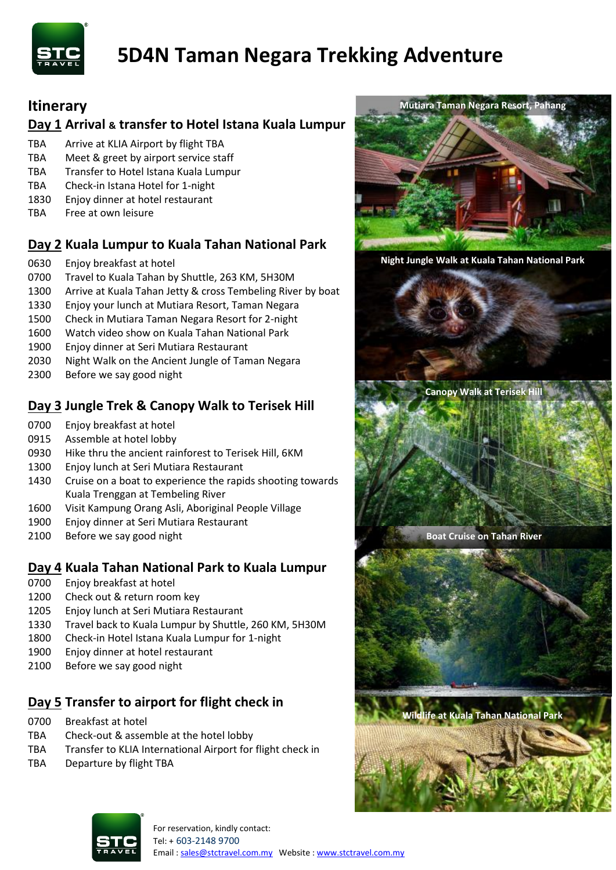

# **5D4N Taman Negara Trekking Adventure**

# **Itinerary**

## **Day 1 Arrival & transfer to Hotel Istana Kuala Lumpur**

- TBA Arrive at KLIA Airport by flight TBA
- TBA Meet & greet by airport service staff
- TBA Transfer to Hotel Istana Kuala Lumpur
- TBA Check-in Istana Hotel for 1-night
- 1830 Enjoy dinner at hotel restaurant
- TBA Free at own leisure

## **Day 2 Kuala Lumpur to Kuala Tahan National Park**

- 0630 Enjoy breakfast at hotel
- 0700 Travel to Kuala Tahan by Shuttle, 263 KM, 5H30M
- 1300 Arrive at Kuala Tahan Jetty & cross Tembeling River by boat
- 1330 Enjoy your lunch at Mutiara Resort, Taman Negara
- 1500 Check in Mutiara Taman Negara Resort for 2-night
- 1600 Watch video show on Kuala Tahan National Park
- 1900 Enjoy dinner at Seri Mutiara Restaurant
- 2030 Night Walk on the Ancient Jungle of Taman Negara
- 2300 Before we say good night

# **Day 3 Jungle Trek & Canopy Walk to Terisek Hill**

- 0700 Enjoy breakfast at hotel
- 0915 Assemble at hotel lobby
- 0930 Hike thru the ancient rainforest to Terisek Hill, 6KM
- 1300 Enjoy lunch at Seri Mutiara Restaurant
- 1430 Cruise on a boat to experience the rapids shooting towards Kuala Trenggan at Tembeling River
- 1600 Visit Kampung Orang Asli, Aboriginal People Village
- 1900 Enjoy dinner at Seri Mutiara Restaurant
- 2100 Before we say good night

## **Day 4 Kuala Tahan National Park to Kuala Lumpur**

- 0700 Enjoy breakfast at hotel
- 1200 Check out & return room key
- 1205 Enjoy lunch at Seri Mutiara Restaurant
- 1330 Travel back to Kuala Lumpur by Shuttle, 260 KM, 5H30M
- 1800 Check-in Hotel Istana Kuala Lumpur for 1-night
- 1900 Enjoy dinner at hotel restaurant
- 2100 Before we say good night

# **Day 5 Transfer to airport for flight check in**

- 0700 Breakfast at hotel
- TBA Check-out & assemble at the hotel lobby
- TBA Transfer to KLIA International Airport for flight check in
- TBA Departure by flight TBA



**Night Jungle Walk at Kuala Tahan National Park**

**Canopy Walk at Terisek Hill**

**Boat Cruise on Tahan River**